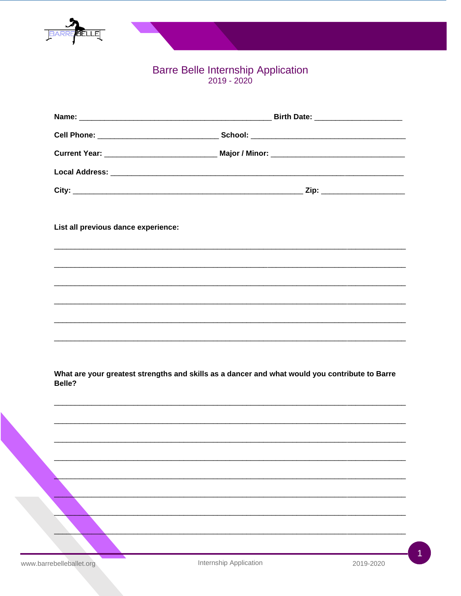

## Barre Belle Internship Application<br>2019 - 2020

| List all previous dance experience: |                                                                                                |
|-------------------------------------|------------------------------------------------------------------------------------------------|
|                                     |                                                                                                |
|                                     |                                                                                                |
|                                     |                                                                                                |
|                                     |                                                                                                |
| Belle?                              | What are your greatest strengths and skills as a dancer and what would you contribute to Barre |
|                                     |                                                                                                |
|                                     |                                                                                                |
|                                     |                                                                                                |
|                                     |                                                                                                |
|                                     |                                                                                                |
|                                     |                                                                                                |
|                                     |                                                                                                |

1